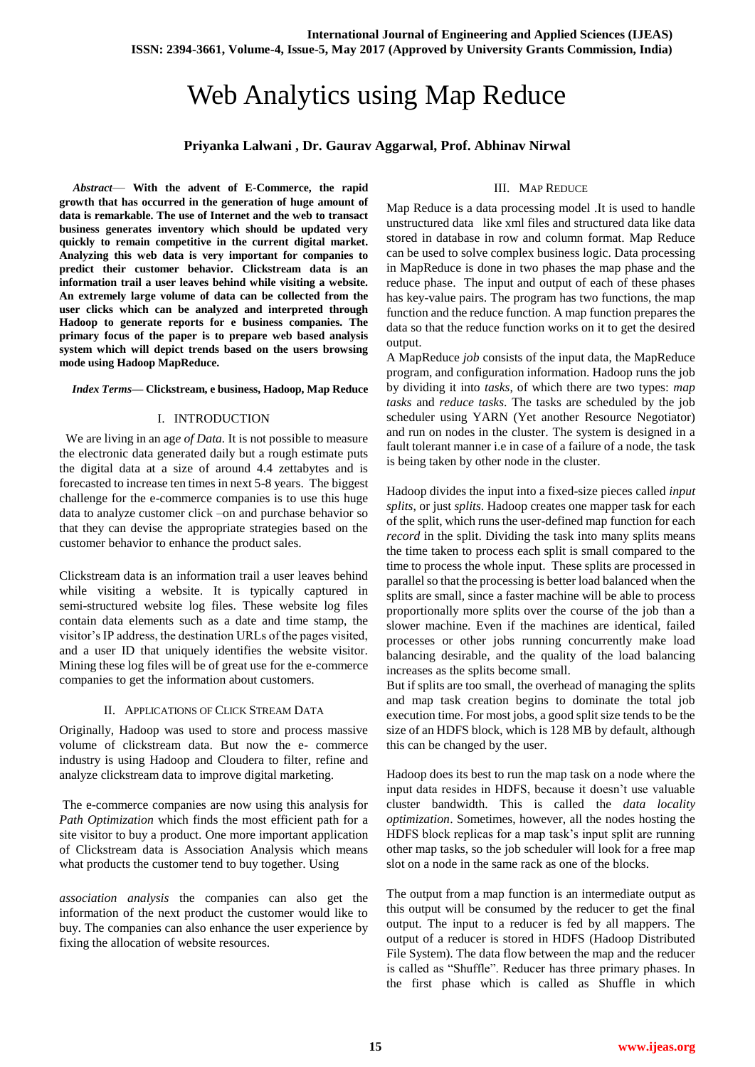# Web Analytics using Map Reduce

## **Priyanka Lalwani , Dr. Gaurav Aggarwal, Prof. Abhinav Nirwal**

*Abstract*— **With the advent of E-Commerce, the rapid growth that has occurred in the generation of huge amount of data is remarkable. The use of Internet and the web to transact business generates inventory which should be updated very quickly to remain competitive in the current digital market. Analyzing this web data is very important for companies to predict their customer behavior. Clickstream data is an information trail a user leaves behind while visiting a website. An extremely large volume of data can be collected from the user clicks which can be analyzed and interpreted through Hadoop to generate reports for e business companies. The primary focus of the paper is to prepare web based analysis system which will depict trends based on the users browsing mode using Hadoop MapReduce.**

### *Index Terms***— Clickstream, e business, Hadoop, Map Reduce**

## I. INTRODUCTION

 We are living in an ag*e of Data.* It is not possible to measure the electronic data generated daily but a rough estimate puts the digital data at a size of around 4.4 zettabytes and is forecasted to increase ten times in next 5-8 years. The biggest challenge for the e-commerce companies is to use this huge data to analyze customer click –on and purchase behavior so that they can devise the appropriate strategies based on the customer behavior to enhance the product sales.

Clickstream data is an information trail a user leaves behind while visiting a website. It is typically captured in semi-structured website log files. These website log files contain data elements such as a date and time stamp, the visitor's IP address, the destination URLs of the pages visited, and a user ID that uniquely identifies the website visitor. Mining these log files will be of great use for the e-commerce companies to get the information about customers.

### II. APPLICATIONS OF CLICK STREAM DATA

Originally, Hadoop was used to store and process massive volume of clickstream data. But now the e- commerce industry is using Hadoop and Cloudera to filter, refine and analyze clickstream data to improve digital marketing.

The e-commerce companies are now using this analysis for *Path Optimization* which finds the most efficient path for a site visitor to buy a product. One more important application of Clickstream data is Association Analysis which means what products the customer tend to buy together. Using

*association analysis* the companies can also get the information of the next product the customer would like to buy. The companies can also enhance the user experience by fixing the allocation of website resources.

## III. MAP REDUCE

Map Reduce is a data processing model .It is used to handle unstructured data like xml files and structured data like data stored in database in row and column format. Map Reduce can be used to solve complex business logic. Data processing in MapReduce is done in two phases the map phase and the reduce phase. The input and output of each of these phases has key-value pairs. The program has two functions, the map function and the reduce function. A map function prepares the data so that the reduce function works on it to get the desired output.

A MapReduce *job* consists of the input data, the MapReduce program, and configuration information. Hadoop runs the job by dividing it into *tasks*, of which there are two types: *map tasks* and *reduce tasks*. The tasks are scheduled by the job scheduler using YARN (Yet another Resource Negotiator) and run on nodes in the cluster. The system is designed in a fault tolerant manner i.e in case of a failure of a node, the task is being taken by other node in the cluster.

Hadoop divides the input into a fixed-size pieces called *input splits*, or just *splits*. Hadoop creates one mapper task for each of the split, which runs the user-defined map function for each *record* in the split. Dividing the task into many splits means the time taken to process each split is small compared to the time to process the whole input. These splits are processed in parallel so that the processing is better load balanced when the splits are small, since a faster machine will be able to process proportionally more splits over the course of the job than a slower machine. Even if the machines are identical, failed processes or other jobs running concurrently make load balancing desirable, and the quality of the load balancing increases as the splits become small.

But if splits are too small, the overhead of managing the splits and map task creation begins to dominate the total job execution time. For most jobs, a good split size tends to be the size of an HDFS block, which is 128 MB by default, although this can be changed by the user.

Hadoop does its best to run the map task on a node where the input data resides in HDFS, because it doesn't use valuable cluster bandwidth. This is called the *data locality optimization*. Sometimes, however, all the nodes hosting the HDFS block replicas for a map task's input split are running other map tasks, so the job scheduler will look for a free map slot on a node in the same rack as one of the blocks.

The output from a map function is an intermediate output as this output will be consumed by the reducer to get the final output. The input to a reducer is fed by all mappers. The output of a reducer is stored in HDFS (Hadoop Distributed File System). The data flow between the map and the reducer is called as "Shuffle". Reducer has three primary phases. In the first phase which is called as Shuffle in which